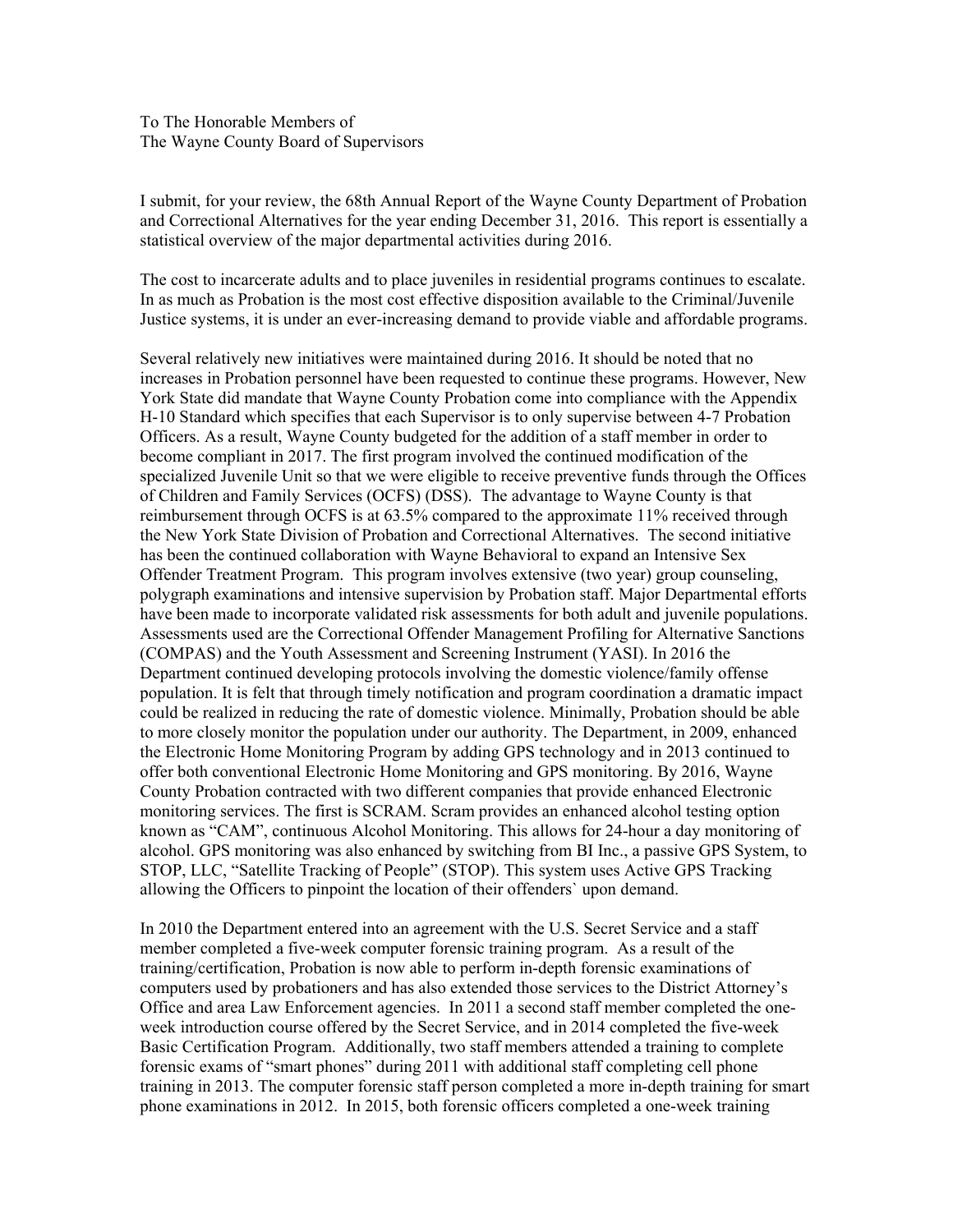To The Honorable Members of The Wayne County Board of Supervisors

I submit, for your review, the 68th Annual Report of the Wayne County Department of Probation and Correctional Alternatives for the year ending December 31, 2016. This report is essentially a statistical overview of the major departmental activities during 2016.

The cost to incarcerate adults and to place juveniles in residential programs continues to escalate. In as much as Probation is the most cost effective disposition available to the Criminal/Juvenile Justice systems, it is under an ever-increasing demand to provide viable and affordable programs.

Several relatively new initiatives were maintained during 2016. It should be noted that no increases in Probation personnel have been requested to continue these programs. However, New York State did mandate that Wayne County Probation come into compliance with the Appendix H-10 Standard which specifies that each Supervisor is to only supervise between 4-7 Probation Officers. As a result, Wayne County budgeted for the addition of a staff member in order to become compliant in 2017. The first program involved the continued modification of the specialized Juvenile Unit so that we were eligible to receive preventive funds through the Offices of Children and Family Services (OCFS) (DSS). The advantage to Wayne County is that reimbursement through OCFS is at 63.5% compared to the approximate 11% received through the New York State Division of Probation and Correctional Alternatives. The second initiative has been the continued collaboration with Wayne Behavioral to expand an Intensive Sex Offender Treatment Program. This program involves extensive (two year) group counseling, polygraph examinations and intensive supervision by Probation staff. Major Departmental efforts have been made to incorporate validated risk assessments for both adult and juvenile populations. Assessments used are the Correctional Offender Management Profiling for Alternative Sanctions (COMPAS) and the Youth Assessment and Screening Instrument (YASI). In 2016 the Department continued developing protocols involving the domestic violence/family offense population. It is felt that through timely notification and program coordination a dramatic impact could be realized in reducing the rate of domestic violence. Minimally, Probation should be able to more closely monitor the population under our authority. The Department, in 2009, enhanced the Electronic Home Monitoring Program by adding GPS technology and in 2013 continued to offer both conventional Electronic Home Monitoring and GPS monitoring. By 2016, Wayne County Probation contracted with two different companies that provide enhanced Electronic monitoring services. The first is SCRAM. Scram provides an enhanced alcohol testing option known as "CAM", continuous Alcohol Monitoring. This allows for 24-hour a day monitoring of alcohol. GPS monitoring was also enhanced by switching from BI Inc., a passive GPS System, to STOP, LLC, "Satellite Tracking of People" (STOP). This system uses Active GPS Tracking allowing the Officers to pinpoint the location of their offenders` upon demand.

In 2010 the Department entered into an agreement with the U.S. Secret Service and a staff member completed a five-week computer forensic training program. As a result of the training/certification, Probation is now able to perform in-depth forensic examinations of computers used by probationers and has also extended those services to the District Attorney's Office and area Law Enforcement agencies. In 2011 a second staff member completed the oneweek introduction course offered by the Secret Service, and in 2014 completed the five-week Basic Certification Program. Additionally, two staff members attended a training to complete forensic exams of "smart phones" during 2011 with additional staff completing cell phone training in 2013. The computer forensic staff person completed a more in-depth training for smart phone examinations in 2012. In 2015, both forensic officers completed a one-week training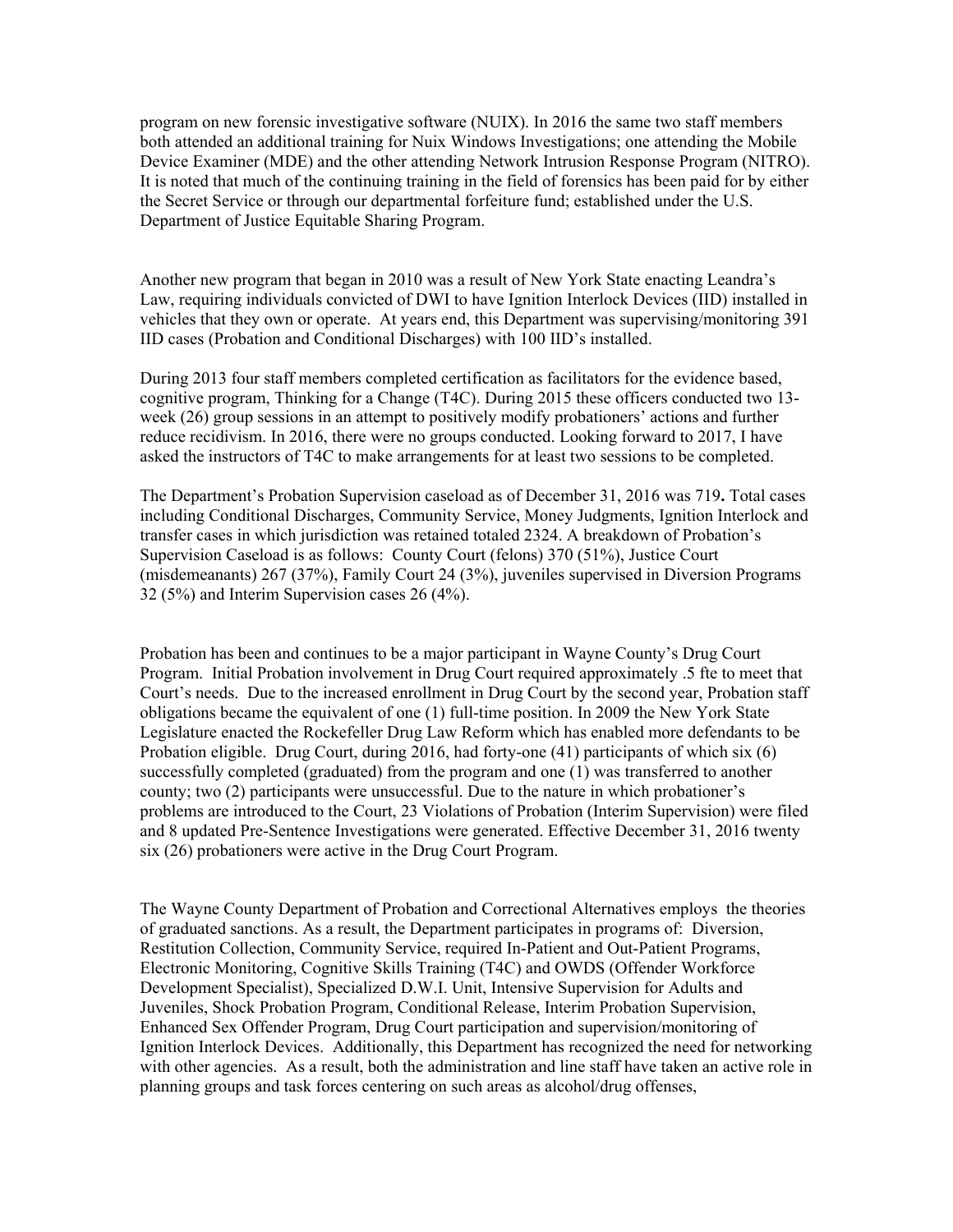program on new forensic investigative software (NUIX). In 2016 the same two staff members both attended an additional training for Nuix Windows Investigations; one attending the Mobile Device Examiner (MDE) and the other attending Network Intrusion Response Program (NITRO). It is noted that much of the continuing training in the field of forensics has been paid for by either the Secret Service or through our departmental forfeiture fund; established under the U.S. Department of Justice Equitable Sharing Program.

Another new program that began in 2010 was a result of New York State enacting Leandra's Law, requiring individuals convicted of DWI to have Ignition Interlock Devices (IID) installed in vehicles that they own or operate. At years end, this Department was supervising/monitoring 391 IID cases (Probation and Conditional Discharges) with 100 IID's installed.

During 2013 four staff members completed certification as facilitators for the evidence based, cognitive program, Thinking for a Change (T4C). During 2015 these officers conducted two 13 week (26) group sessions in an attempt to positively modify probationers' actions and further reduce recidivism. In 2016, there were no groups conducted. Looking forward to 2017, I have asked the instructors of T4C to make arrangements for at least two sessions to be completed.

The Department's Probation Supervision caseload as of December 31, 2016 was 719**.** Total cases including Conditional Discharges, Community Service, Money Judgments, Ignition Interlock and transfer cases in which jurisdiction was retained totaled 2324. A breakdown of Probation's Supervision Caseload is as follows: County Court (felons) 370 (51%), Justice Court (misdemeanants) 267 (37%), Family Court 24 (3%), juveniles supervised in Diversion Programs 32 (5%) and Interim Supervision cases 26 (4%).

Probation has been and continues to be a major participant in Wayne County's Drug Court Program. Initial Probation involvement in Drug Court required approximately .5 fte to meet that Court's needs. Due to the increased enrollment in Drug Court by the second year, Probation staff obligations became the equivalent of one (1) full-time position. In 2009 the New York State Legislature enacted the Rockefeller Drug Law Reform which has enabled more defendants to be Probation eligible. Drug Court, during 2016, had forty-one (41) participants of which six (6) successfully completed (graduated) from the program and one (1) was transferred to another county; two (2) participants were unsuccessful. Due to the nature in which probationer's problems are introduced to the Court, 23 Violations of Probation (Interim Supervision) were filed and 8 updated Pre-Sentence Investigations were generated. Effective December 31, 2016 twenty six (26) probationers were active in the Drug Court Program.

The Wayne County Department of Probation and Correctional Alternatives employs the theories of graduated sanctions. As a result, the Department participates in programs of: Diversion, Restitution Collection, Community Service, required In-Patient and Out-Patient Programs, Electronic Monitoring, Cognitive Skills Training (T4C) and OWDS (Offender Workforce Development Specialist), Specialized D.W.I. Unit, Intensive Supervision for Adults and Juveniles, Shock Probation Program, Conditional Release, Interim Probation Supervision, Enhanced Sex Offender Program, Drug Court participation and supervision/monitoring of Ignition Interlock Devices. Additionally, this Department has recognized the need for networking with other agencies. As a result, both the administration and line staff have taken an active role in planning groups and task forces centering on such areas as alcohol/drug offenses,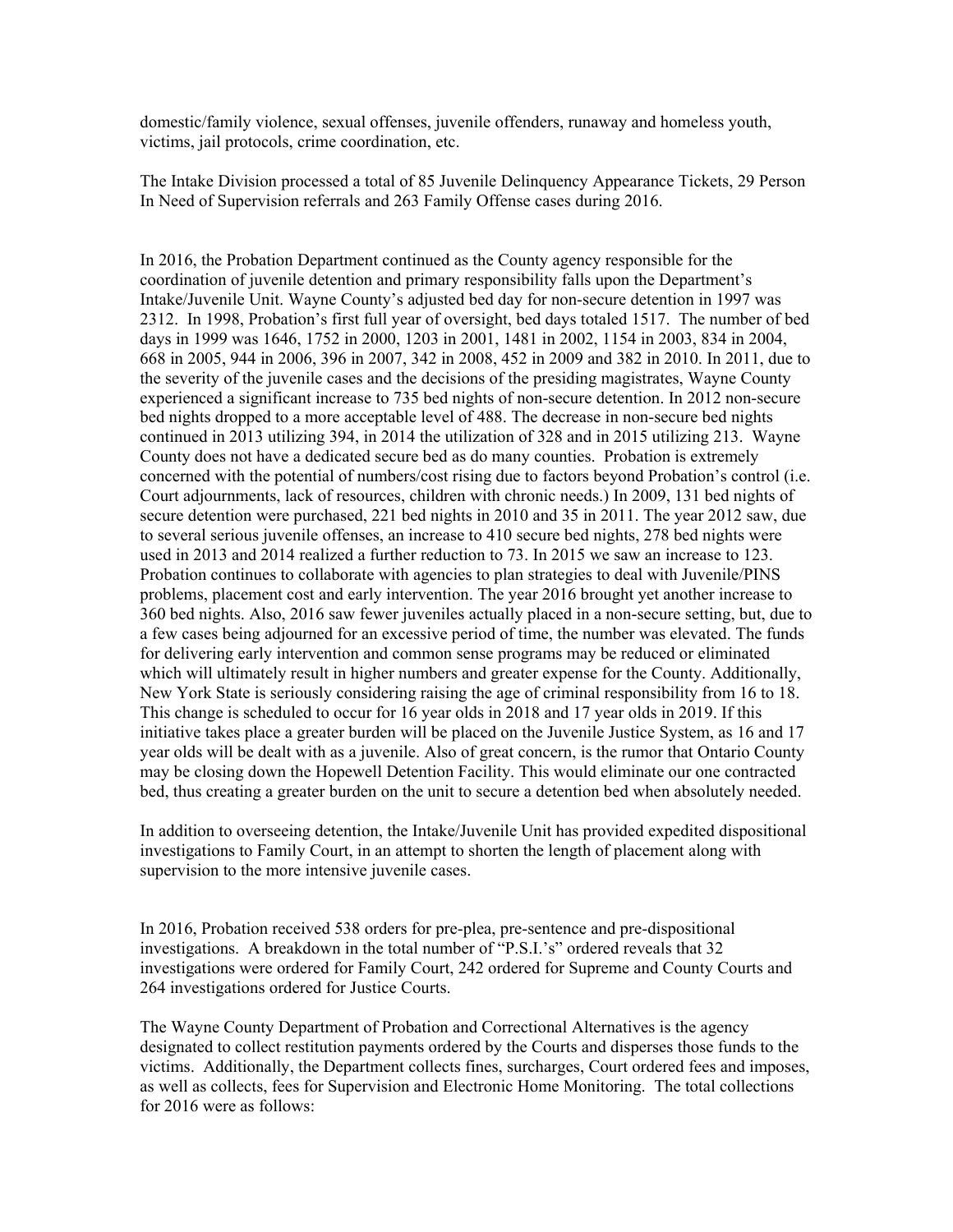domestic/family violence, sexual offenses, juvenile offenders, runaway and homeless youth, victims, jail protocols, crime coordination, etc.

The Intake Division processed a total of 85 Juvenile Delinquency Appearance Tickets, 29 Person In Need of Supervision referrals and 263 Family Offense cases during 2016.

In 2016, the Probation Department continued as the County agency responsible for the coordination of juvenile detention and primary responsibility falls upon the Department's Intake/Juvenile Unit. Wayne County's adjusted bed day for non-secure detention in 1997 was 2312. In 1998, Probation's first full year of oversight, bed days totaled 1517. The number of bed days in 1999 was 1646, 1752 in 2000, 1203 in 2001, 1481 in 2002, 1154 in 2003, 834 in 2004, 668 in 2005, 944 in 2006, 396 in 2007, 342 in 2008, 452 in 2009 and 382 in 2010. In 2011, due to the severity of the juvenile cases and the decisions of the presiding magistrates, Wayne County experienced a significant increase to 735 bed nights of non-secure detention. In 2012 non-secure bed nights dropped to a more acceptable level of 488. The decrease in non-secure bed nights continued in 2013 utilizing 394, in 2014 the utilization of 328 and in 2015 utilizing 213. Wayne County does not have a dedicated secure bed as do many counties. Probation is extremely concerned with the potential of numbers/cost rising due to factors beyond Probation's control (i.e. Court adjournments, lack of resources, children with chronic needs.) In 2009, 131 bed nights of secure detention were purchased, 221 bed nights in 2010 and 35 in 2011. The year 2012 saw, due to several serious juvenile offenses, an increase to 410 secure bed nights, 278 bed nights were used in 2013 and 2014 realized a further reduction to 73. In 2015 we saw an increase to 123. Probation continues to collaborate with agencies to plan strategies to deal with Juvenile/PINS problems, placement cost and early intervention. The year 2016 brought yet another increase to 360 bed nights. Also, 2016 saw fewer juveniles actually placed in a non-secure setting, but, due to a few cases being adjourned for an excessive period of time, the number was elevated. The funds for delivering early intervention and common sense programs may be reduced or eliminated which will ultimately result in higher numbers and greater expense for the County. Additionally, New York State is seriously considering raising the age of criminal responsibility from 16 to 18. This change is scheduled to occur for 16 year olds in 2018 and 17 year olds in 2019. If this initiative takes place a greater burden will be placed on the Juvenile Justice System, as 16 and 17 year olds will be dealt with as a juvenile. Also of great concern, is the rumor that Ontario County may be closing down the Hopewell Detention Facility. This would eliminate our one contracted bed, thus creating a greater burden on the unit to secure a detention bed when absolutely needed.

In addition to overseeing detention, the Intake/Juvenile Unit has provided expedited dispositional investigations to Family Court, in an attempt to shorten the length of placement along with supervision to the more intensive juvenile cases.

In 2016, Probation received 538 orders for pre-plea, pre-sentence and pre-dispositional investigations. A breakdown in the total number of "P.S.I.'s" ordered reveals that 32 investigations were ordered for Family Court, 242 ordered for Supreme and County Courts and 264 investigations ordered for Justice Courts.

The Wayne County Department of Probation and Correctional Alternatives is the agency designated to collect restitution payments ordered by the Courts and disperses those funds to the victims. Additionally, the Department collects fines, surcharges, Court ordered fees and imposes, as well as collects, fees for Supervision and Electronic Home Monitoring. The total collections for 2016 were as follows: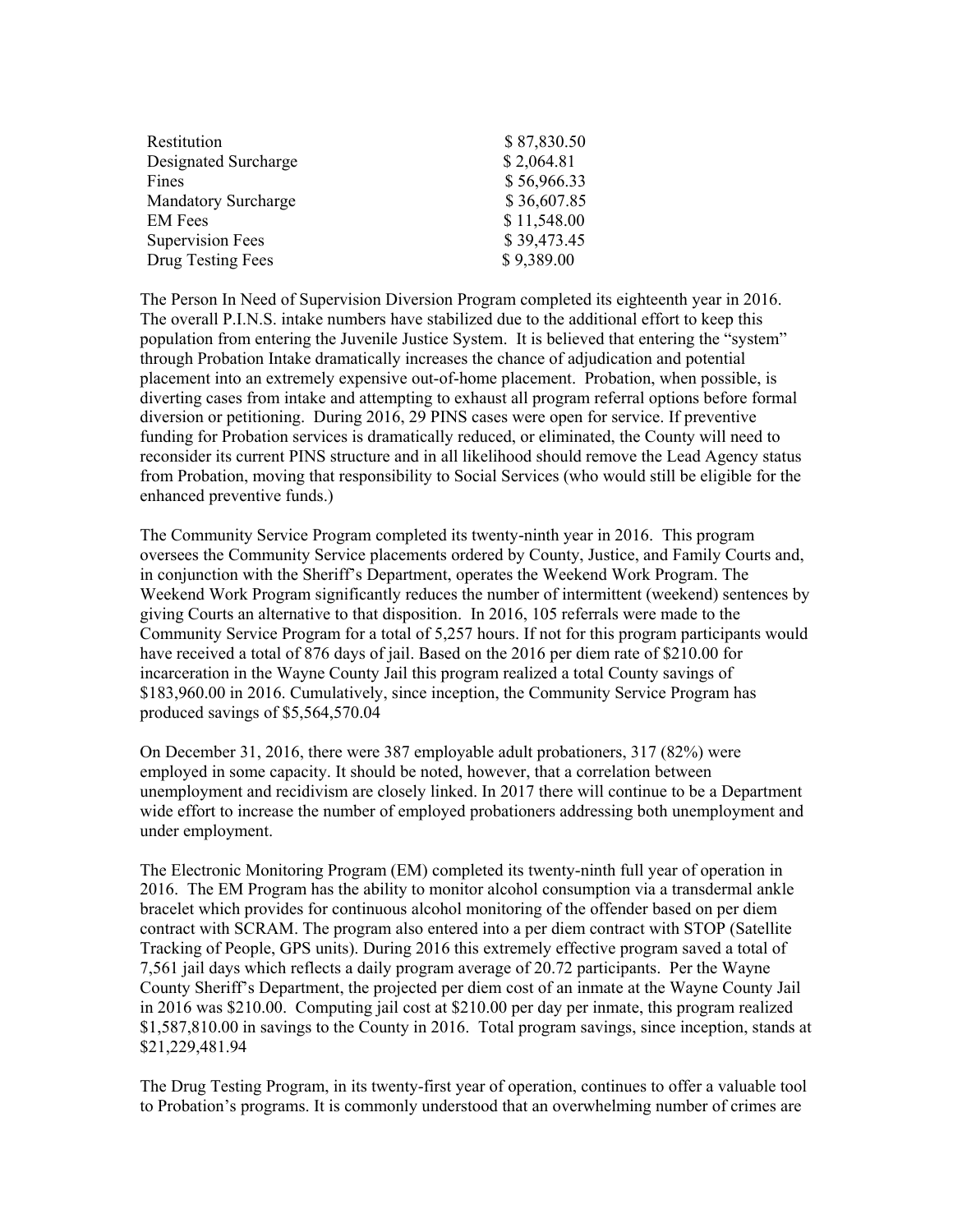| Restitution             | \$87,830.50 |
|-------------------------|-------------|
| Designated Surcharge    | \$2,064.81  |
| Fines                   | \$56,966.33 |
| Mandatory Surcharge     | \$36,607.85 |
| <b>EM</b> Fees          | \$11,548.00 |
| <b>Supervision Fees</b> | \$39,473.45 |
| Drug Testing Fees       | \$9,389.00  |

The Person In Need of Supervision Diversion Program completed its eighteenth year in 2016. The overall P.I.N.S. intake numbers have stabilized due to the additional effort to keep this population from entering the Juvenile Justice System. It is believed that entering the "system" through Probation Intake dramatically increases the chance of adjudication and potential placement into an extremely expensive out-of-home placement. Probation, when possible, is diverting cases from intake and attempting to exhaust all program referral options before formal diversion or petitioning. During 2016, 29 PINS cases were open for service. If preventive funding for Probation services is dramatically reduced, or eliminated, the County will need to reconsider its current PINS structure and in all likelihood should remove the Lead Agency status from Probation, moving that responsibility to Social Services (who would still be eligible for the enhanced preventive funds.)

The Community Service Program completed its twenty-ninth year in 2016. This program oversees the Community Service placements ordered by County, Justice, and Family Courts and, in conjunction with the Sheriff's Department, operates the Weekend Work Program. The Weekend Work Program significantly reduces the number of intermittent (weekend) sentences by giving Courts an alternative to that disposition. In 2016, 105 referrals were made to the Community Service Program for a total of 5,257 hours. If not for this program participants would have received a total of 876 days of jail. Based on the 2016 per diem rate of \$210.00 for incarceration in the Wayne County Jail this program realized a total County savings of \$183,960.00 in 2016. Cumulatively, since inception, the Community Service Program has produced savings of \$5,564,570.04

On December 31, 2016, there were 387 employable adult probationers, 317 (82%) were employed in some capacity. It should be noted, however, that a correlation between unemployment and recidivism are closely linked. In 2017 there will continue to be a Department wide effort to increase the number of employed probationers addressing both unemployment and under employment.

The Electronic Monitoring Program (EM) completed its twenty-ninth full year of operation in 2016. The EM Program has the ability to monitor alcohol consumption via a transdermal ankle bracelet which provides for continuous alcohol monitoring of the offender based on per diem contract with SCRAM. The program also entered into a per diem contract with STOP (Satellite Tracking of People, GPS units). During 2016 this extremely effective program saved a total of 7,561 jail days which reflects a daily program average of 20.72 participants. Per the Wayne County Sheriff's Department, the projected per diem cost of an inmate at the Wayne County Jail in 2016 was \$210.00. Computing jail cost at \$210.00 per day per inmate, this program realized \$1,587,810.00 in savings to the County in 2016. Total program savings, since inception, stands at \$21,229,481.94

The Drug Testing Program, in its twenty-first year of operation, continues to offer a valuable tool to Probation's programs. It is commonly understood that an overwhelming number of crimes are